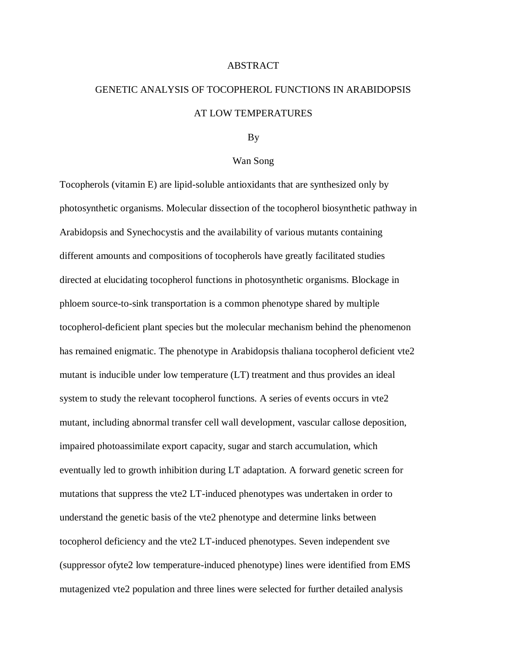## ABSTRACT

## GENETIC ANALYSIS OF TOCOPHEROL FUNCTIONS IN ARABIDOPSIS AT LOW TEMPERATURES

## By

## Wan Song

Tocopherols (vitamin E) are lipid-soluble antioxidants that are synthesized only by photosynthetic organisms. Molecular dissection of the tocopherol biosynthetic pathway in Arabidopsis and Synechocystis and the availability of various mutants containing different amounts and compositions of tocopherols have greatly facilitated studies directed at elucidating tocopherol functions in photosynthetic organisms. Blockage in phloem source-to-sink transportation is a common phenotype shared by multiple tocopherol-deficient plant species but the molecular mechanism behind the phenomenon has remained enigmatic. The phenotype in Arabidopsis thaliana tocopherol deficient vte2 mutant is inducible under low temperature (LT) treatment and thus provides an ideal system to study the relevant tocopherol functions. A series of events occurs in vte2 mutant, including abnormal transfer cell wall development, vascular callose deposition, impaired photoassimilate export capacity, sugar and starch accumulation, which eventually led to growth inhibition during LT adaptation. A forward genetic screen for mutations that suppress the vte2 LT-induced phenotypes was undertaken in order to understand the genetic basis of the vte2 phenotype and determine links between tocopherol deficiency and the vte2 LT-induced phenotypes. Seven independent sve (suppressor ofyte2 low temperature-induced phenotype) lines were identified from EMS mutagenized vte2 population and three lines were selected for further detailed analysis